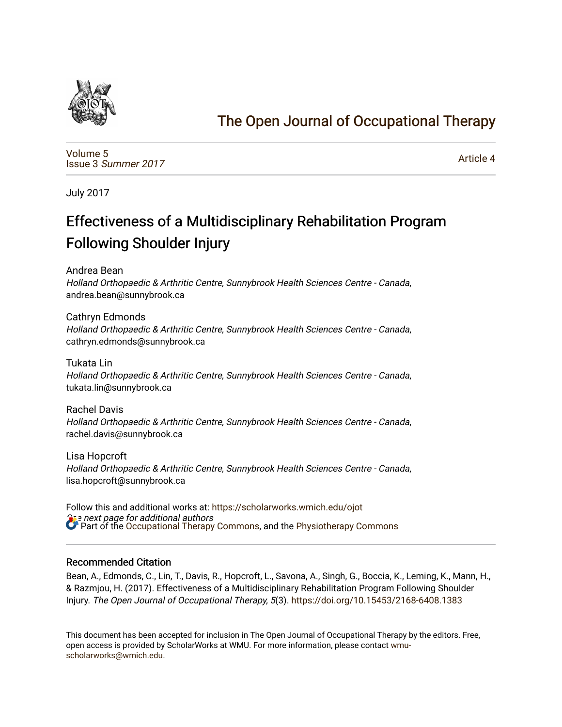

# [The Open Journal of Occupational Therapy](https://scholarworks.wmich.edu/ojot)

[Volume 5](https://scholarworks.wmich.edu/ojot/vol5) Issue 3 [Summer 2017](https://scholarworks.wmich.edu/ojot/vol5/iss3) 

[Article 4](https://scholarworks.wmich.edu/ojot/vol5/iss3/4) 

July 2017

# Effectiveness of a Multidisciplinary Rehabilitation Program Following Shoulder Injury

Andrea Bean

Holland Orthopaedic & Arthritic Centre, Sunnybrook Health Sciences Centre - Canada, andrea.bean@sunnybrook.ca

Cathryn Edmonds Holland Orthopaedic & Arthritic Centre, Sunnybrook Health Sciences Centre - Canada, cathryn.edmonds@sunnybrook.ca

Tukata Lin Holland Orthopaedic & Arthritic Centre, Sunnybrook Health Sciences Centre - Canada, tukata.lin@sunnybrook.ca

Rachel Davis Holland Orthopaedic & Arthritic Centre, Sunnybrook Health Sciences Centre - Canada, rachel.davis@sunnybrook.ca

Lisa Hopcroft Holland Orthopaedic & Arthritic Centre, Sunnybrook Health Sciences Centre - Canada, lisa.hopcroft@sunnybrook.ca

se next page for additional authors Follow this and additional works at: [https://scholarworks.wmich.edu/ojot](https://scholarworks.wmich.edu/ojot?utm_source=scholarworks.wmich.edu%2Fojot%2Fvol5%2Fiss3%2F4&utm_medium=PDF&utm_campaign=PDFCoverPages) **Part of the [Occupational Therapy Commons,](http://network.bepress.com/hgg/discipline/752?utm_source=scholarworks.wmich.edu%2Fojot%2Fvol5%2Fiss3%2F4&utm_medium=PDF&utm_campaign=PDFCoverPages) and the [Physiotherapy Commons](http://network.bepress.com/hgg/discipline/1086?utm_source=scholarworks.wmich.edu%2Fojot%2Fvol5%2Fiss3%2F4&utm_medium=PDF&utm_campaign=PDFCoverPages)** 

#### Recommended Citation

Bean, A., Edmonds, C., Lin, T., Davis, R., Hopcroft, L., Savona, A., Singh, G., Boccia, K., Leming, K., Mann, H., & Razmjou, H. (2017). Effectiveness of a Multidisciplinary Rehabilitation Program Following Shoulder Injury. The Open Journal of Occupational Therapy, 5(3). <https://doi.org/10.15453/2168-6408.1383>

This document has been accepted for inclusion in The Open Journal of Occupational Therapy by the editors. Free, open access is provided by ScholarWorks at WMU. For more information, please contact [wmu](mailto:wmu-scholarworks@wmich.edu)[scholarworks@wmich.edu.](mailto:wmu-scholarworks@wmich.edu)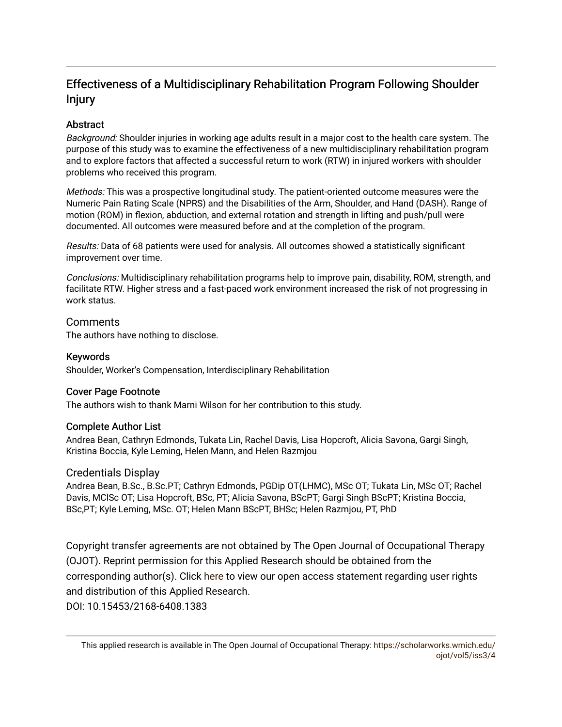# Effectiveness of a Multidisciplinary Rehabilitation Program Following Shoulder Injury

# **Abstract**

Background: Shoulder injuries in working age adults result in a major cost to the health care system. The purpose of this study was to examine the effectiveness of a new multidisciplinary rehabilitation program and to explore factors that affected a successful return to work (RTW) in injured workers with shoulder problems who received this program.

Methods: This was a prospective longitudinal study. The patient-oriented outcome measures were the Numeric Pain Rating Scale (NPRS) and the Disabilities of the Arm, Shoulder, and Hand (DASH). Range of motion (ROM) in flexion, abduction, and external rotation and strength in lifting and push/pull were documented. All outcomes were measured before and at the completion of the program.

Results: Data of 68 patients were used for analysis. All outcomes showed a statistically significant improvement over time.

Conclusions: Multidisciplinary rehabilitation programs help to improve pain, disability, ROM, strength, and facilitate RTW. Higher stress and a fast-paced work environment increased the risk of not progressing in work status.

## Comments

The authors have nothing to disclose.

## Keywords

Shoulder, Worker's Compensation, Interdisciplinary Rehabilitation

## Cover Page Footnote

The authors wish to thank Marni Wilson for her contribution to this study.

## Complete Author List

Andrea Bean, Cathryn Edmonds, Tukata Lin, Rachel Davis, Lisa Hopcroft, Alicia Savona, Gargi Singh, Kristina Boccia, Kyle Leming, Helen Mann, and Helen Razmjou

# Credentials Display

Andrea Bean, B.Sc., B.Sc.PT; Cathryn Edmonds, PGDip OT(LHMC), MSc OT; Tukata Lin, MSc OT; Rachel Davis, MClSc OT; Lisa Hopcroft, BSc, PT; Alicia Savona, BScPT; Gargi Singh BScPT; Kristina Boccia, BSc,PT; Kyle Leming, MSc. OT; Helen Mann BScPT, BHSc; Helen Razmjou, PT, PhD

Copyright transfer agreements are not obtained by The Open Journal of Occupational Therapy (OJOT). Reprint permission for this Applied Research should be obtained from the corresponding author(s). Click [here](https://scholarworks.wmich.edu/ojot/policies.html#rights) to view our open access statement regarding user rights and distribution of this Applied Research. DOI: 10.15453/2168-6408.1383

This applied research is available in The Open Journal of Occupational Therapy: [https://scholarworks.wmich.edu/](https://scholarworks.wmich.edu/ojot/vol5/iss3/4) [ojot/vol5/iss3/4](https://scholarworks.wmich.edu/ojot/vol5/iss3/4)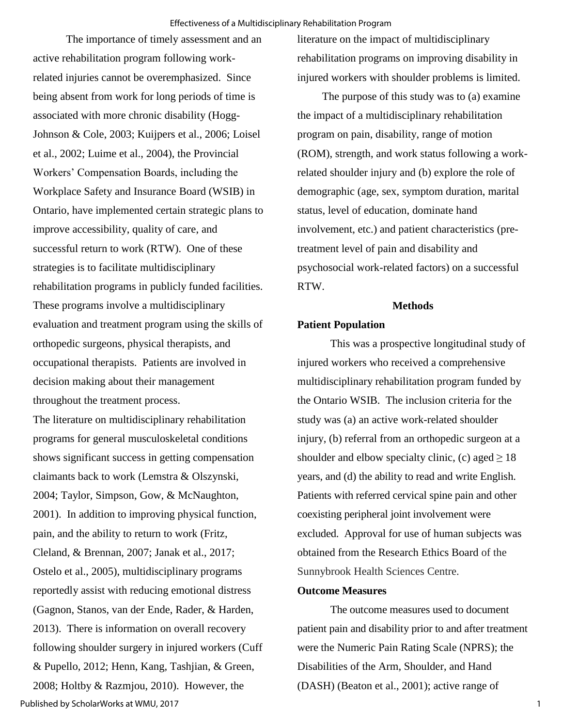The importance of timely assessment and an active rehabilitation program following workrelated injuries cannot be overemphasized. Since being absent from work for long periods of time is associated with more chronic disability (Hogg-Johnson & Cole, 2003; Kuijpers et al., 2006; Loisel et al., 2002; Luime et al., 2004), the Provincial Workers' Compensation Boards, including the Workplace Safety and Insurance Board (WSIB) in Ontario, have implemented certain strategic plans to improve accessibility, quality of care, and successful return to work (RTW). One of these strategies is to facilitate multidisciplinary rehabilitation programs in publicly funded facilities. These programs involve a multidisciplinary evaluation and treatment program using the skills of orthopedic surgeons, physical therapists, and occupational therapists. Patients are involved in decision making about their management throughout the treatment process.

The literature on multidisciplinary rehabilitation programs for general musculoskeletal conditions shows significant success in getting compensation claimants back to work (Lemstra & Olszynski, 2004; Taylor, Simpson, Gow, & McNaughton, 2001). In addition to improving physical function, pain, and the ability to return to work (Fritz, Cleland, & Brennan, 2007; Janak et al., 2017; Ostelo et al., 2005), multidisciplinary programs reportedly assist with reducing emotional distress (Gagnon, Stanos, van der Ende, Rader, & Harden, 2013). There is information on overall recovery following shoulder surgery in injured workers (Cuff & Pupello, 2012; Henn, Kang, Tashjian, & Green, 2008; Holtby & Razmjou, 2010). However, the Published by ScholarWorks at WMU, 2017

literature on the impact of multidisciplinary rehabilitation programs on improving disability in injured workers with shoulder problems is limited.

 The purpose of this study was to (a) examine the impact of a multidisciplinary rehabilitation program on pain, disability, range of motion (ROM), strength, and work status following a workrelated shoulder injury and (b) explore the role of demographic (age, sex, symptom duration, marital status, level of education, dominate hand involvement, etc.) and patient characteristics (pretreatment level of pain and disability and psychosocial work-related factors) on a successful RTW.

#### **Methods**

#### **Patient Population**

 This was a prospective longitudinal study of injured workers who received a comprehensive multidisciplinary rehabilitation program funded by the Ontario WSIB. The inclusion criteria for the study was (a) an active work-related shoulder injury, (b) referral from an orthopedic surgeon at a shoulder and elbow specialty clinic, (c) aged  $\geq 18$ years, and (d) the ability to read and write English. Patients with referred cervical spine pain and other coexisting peripheral joint involvement were excluded. Approval for use of human subjects was obtained from the Research Ethics Board of the Sunnybrook Health Sciences Centre.

## **Outcome Measures**

The outcome measures used to document patient pain and disability prior to and after treatment were the Numeric Pain Rating Scale (NPRS); the Disabilities of the Arm, Shoulder, and Hand (DASH) (Beaton et al., 2001); active range of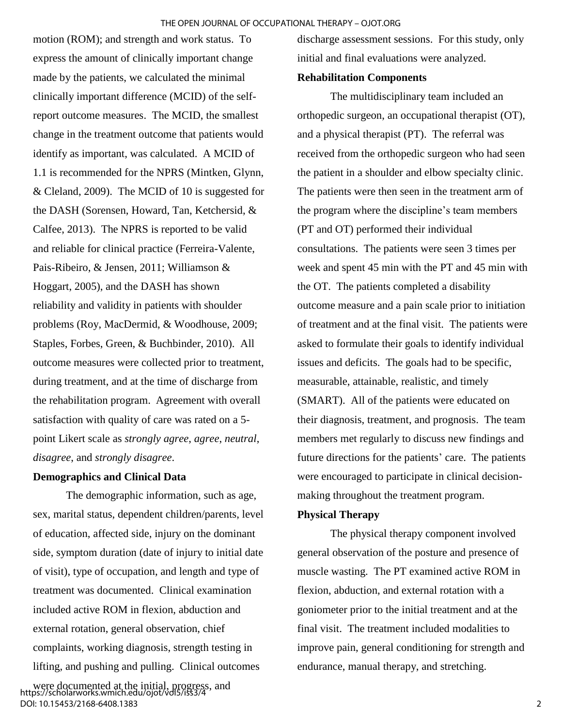motion (ROM); and strength and work status. To express the amount of clinically important change made by the patients, we calculated the minimal clinically important difference (MCID) of the selfreport outcome measures. The MCID, the smallest change in the treatment outcome that patients would identify as important, was calculated. A MCID of 1.1 is recommended for the NPRS (Mintken, Glynn, & Cleland, 2009). The MCID of 10 is suggested for the DASH (Sorensen, Howard, Tan, Ketchersid, & Calfee, 2013). The NPRS is reported to be valid and reliable for clinical practice (Ferreira-Valente, Pais-Ribeiro, & Jensen, 2011; Williamson & Hoggart, 2005), and the DASH has shown reliability and validity in patients with shoulder problems (Roy, MacDermid, & Woodhouse, 2009; Staples, Forbes, Green, & Buchbinder, 2010). All outcome measures were collected prior to treatment, during treatment, and at the time of discharge from the rehabilitation program. Agreement with overall satisfaction with quality of care was rated on a 5 point Likert scale as *strongly agree*, *agree*, *neutral*, *disagree*, and *strongly disagree*.

# **Demographics and Clinical Data**

The demographic information, such as age, sex, marital status, dependent children/parents, level of education, affected side, injury on the dominant side, symptom duration (date of injury to initial date of visit), type of occupation, and length and type of treatment was documented. Clinical examination included active ROM in flexion, abduction and external rotation, general observation, chief complaints, working diagnosis, strength testing in lifting, and pushing and pulling. Clinical outcomes

discharge assessment sessions. For this study, only initial and final evaluations were analyzed.

#### **Rehabilitation Components**

The multidisciplinary team included an orthopedic surgeon, an occupational therapist (OT), and a physical therapist (PT). The referral was received from the orthopedic surgeon who had seen the patient in a shoulder and elbow specialty clinic. The patients were then seen in the treatment arm of the program where the discipline's team members (PT and OT) performed their individual consultations. The patients were seen 3 times per week and spent 45 min with the PT and 45 min with the OT. The patients completed a disability outcome measure and a pain scale prior to initiation of treatment and at the final visit. The patients were asked to formulate their goals to identify individual issues and deficits. The goals had to be specific, measurable, attainable, realistic, and timely (SMART). All of the patients were educated on their diagnosis, treatment, and prognosis. The team members met regularly to discuss new findings and future directions for the patients' care. The patients were encouraged to participate in clinical decisionmaking throughout the treatment program.

# **Physical Therapy**

The physical therapy component involved general observation of the posture and presence of muscle wasting. The PT examined active ROM in flexion, abduction, and external rotation with a goniometer prior to the initial treatment and at the final visit. The treatment included modalities to improve pain, general conditioning for strength and endurance, manual therapy, and stretching.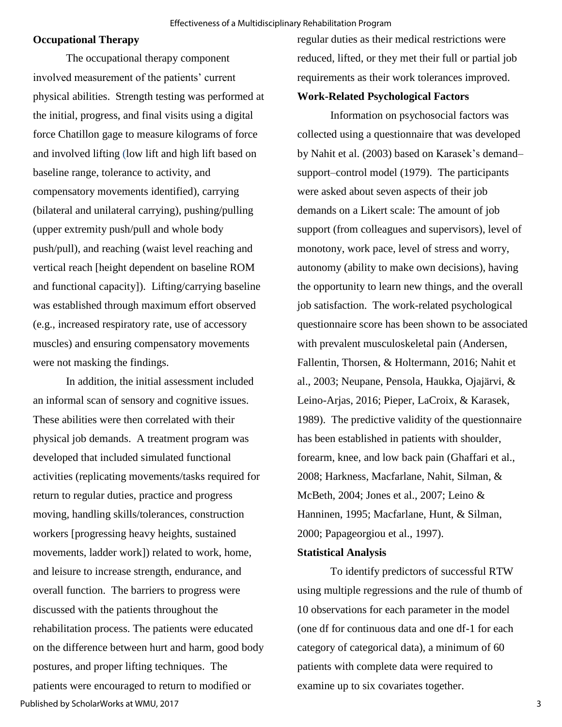#### **Occupational Therapy**

The occupational therapy component involved measurement of the patients' current physical abilities. Strength testing was performed at the initial, progress, and final visits using a digital force Chatillon gage to measure kilograms of force and involved lifting (low lift and high lift based on baseline range, tolerance to activity, and compensatory movements identified), carrying (bilateral and unilateral carrying), pushing/pulling (upper extremity push/pull and whole body push/pull), and reaching (waist level reaching and vertical reach [height dependent on baseline ROM and functional capacity]). Lifting/carrying baseline was established through maximum effort observed (e.g., increased respiratory rate, use of accessory muscles) and ensuring compensatory movements were not masking the findings.

In addition, the initial assessment included an informal scan of sensory and cognitive issues. These abilities were then correlated with their physical job demands. A treatment program was developed that included simulated functional activities (replicating movements/tasks required for return to regular duties, practice and progress moving, handling skills/tolerances, construction workers [progressing heavy heights, sustained movements, ladder work]) related to work, home, and leisure to increase strength, endurance, and overall function. The barriers to progress were discussed with the patients throughout the rehabilitation process. The patients were educated on the difference between hurt and harm, good body postures, and proper lifting techniques. The patients were encouraged to return to modified or Published by ScholarWorks at WMU, 2017

regular duties as their medical restrictions were reduced, lifted, or they met their full or partial job requirements as their work tolerances improved.

## **Work-Related Psychological Factors**

Information on psychosocial factors was collected using a questionnaire that was developed by Nahit et al. (2003) based on Karasek's demand– support–control model (1979). The participants were asked about seven aspects of their job demands on a Likert scale: The amount of job support (from colleagues and supervisors), level of monotony, work pace, level of stress and worry, autonomy (ability to make own decisions), having the opportunity to learn new things, and the overall job satisfaction. The work-related psychological questionnaire score has been shown to be associated with prevalent musculoskeletal pain (Andersen, Fallentin, Thorsen, & Holtermann, 2016; Nahit et al., 2003; Neupane, Pensola, Haukka, Ojajärvi, & Leino-Arjas, 2016; Pieper, LaCroix, & Karasek, 1989). The predictive validity of the questionnaire has been established in patients with shoulder, forearm, knee, and low back pain (Ghaffari et al., 2008; Harkness, Macfarlane, Nahit, Silman, & McBeth, 2004; Jones et al., 2007; Leino & Hanninen, 1995; Macfarlane, Hunt, & Silman, 2000; Papageorgiou et al., 1997).

#### **Statistical Analysis**

To identify predictors of successful RTW using multiple regressions and the rule of thumb of 10 observations for each parameter in the model (one df for continuous data and one df-1 for each category of categorical data), a minimum of 60 patients with complete data were required to examine up to six covariates together.

3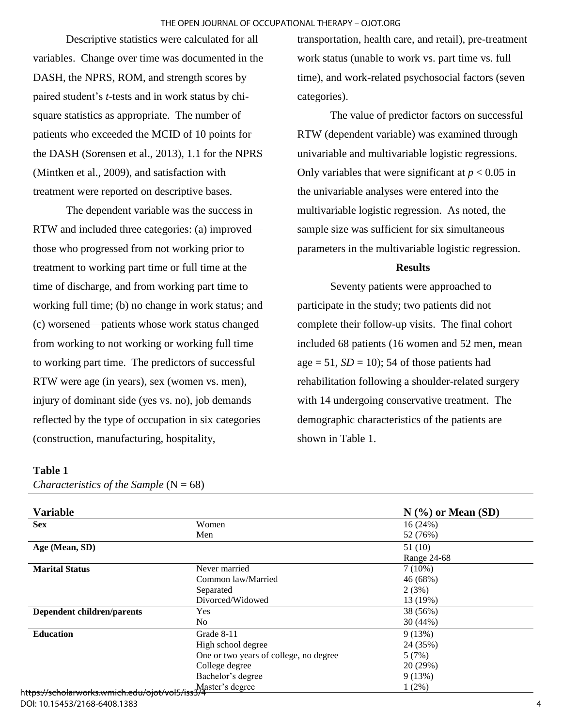Descriptive statistics were calculated for all variables. Change over time was documented in the DASH, the NPRS, ROM, and strength scores by paired student's *t*-tests and in work status by chisquare statistics as appropriate. The number of patients who exceeded the MCID of 10 points for the DASH (Sorensen et al., 2013), 1.1 for the NPRS (Mintken et al., 2009), and satisfaction with treatment were reported on descriptive bases.

The dependent variable was the success in RTW and included three categories: (a) improved those who progressed from not working prior to treatment to working part time or full time at the time of discharge, and from working part time to working full time; (b) no change in work status; and (c) worsened—patients whose work status changed from working to not working or working full time to working part time. The predictors of successful RTW were age (in years), sex (women vs. men), injury of dominant side (yes vs. no), job demands reflected by the type of occupation in six categories (construction, manufacturing, hospitality,

transportation, health care, and retail), pre-treatment work status (unable to work vs. part time vs. full time), and work-related psychosocial factors (seven categories).

The value of predictor factors on successful RTW (dependent variable) was examined through univariable and multivariable logistic regressions. Only variables that were significant at  $p < 0.05$  in the univariable analyses were entered into the multivariable logistic regression. As noted, the sample size was sufficient for six simultaneous parameters in the multivariable logistic regression.

#### **Results**

Seventy patients were approached to participate in the study; two patients did not complete their follow-up visits. The final cohort included 68 patients (16 women and 52 men, mean age  $= 51$ ,  $SD = 10$ ); 54 of those patients had rehabilitation following a shoulder-related surgery with 14 undergoing conservative treatment. The demographic characteristics of the patients are shown in Table 1.

## **Table 1**

*Characteristics of the Sample*  $(N = 68)$ 

| <b>Variable</b>                                                                    |                                        | $N$ (%) or Mean (SD) |
|------------------------------------------------------------------------------------|----------------------------------------|----------------------|
| <b>Sex</b>                                                                         | Women                                  | 16(24%)              |
|                                                                                    | Men                                    | 52 (76%)             |
| Age (Mean, SD)                                                                     |                                        | 51(10)               |
|                                                                                    |                                        | Range 24-68          |
| <b>Marital Status</b>                                                              | Never married                          | $7(10\%)$            |
|                                                                                    | Common law/Married                     | 46 (68%)             |
|                                                                                    | Separated                              | 2(3%)                |
|                                                                                    | Divorced/Widowed                       | 13 (19%)             |
| <b>Dependent children/parents</b>                                                  | <b>Yes</b>                             | 38 (56%)             |
|                                                                                    | No.                                    | 30(44%)              |
| <b>Education</b>                                                                   | Grade 8-11                             | 9(13%)               |
|                                                                                    | High school degree                     | 24 (35%)             |
|                                                                                    | One or two years of college, no degree | 5(7%)                |
|                                                                                    | College degree                         | 20 (29%)             |
|                                                                                    | Bachelor's degree                      | 9(13%)               |
| . Master's degree<br>- ht <del>tps://scholarworks.wmich.edu/ojot/vol5/iss3/4</del> |                                        | $1(2\%)$             |

#### DOI: 10.15453/2168-6408.1383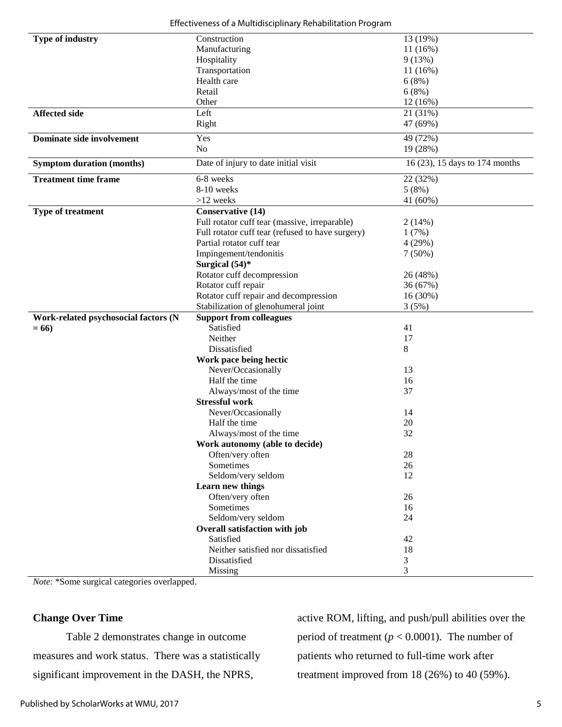|  |  | Effectiveness of a Multidisciplinary Rehabilitation Program |  |
|--|--|-------------------------------------------------------------|--|
|  |  |                                                             |  |

| Type of industry                     | Construction                                     | 13 (19%)                       |
|--------------------------------------|--------------------------------------------------|--------------------------------|
|                                      | Manufacturing                                    | 11 (16%)                       |
|                                      | Hospitality                                      | 9(13%)                         |
|                                      | Transportation                                   | 11(16%)                        |
|                                      | Health care                                      | 6(8%)                          |
|                                      | Retail                                           | 6(8%)                          |
|                                      | Other                                            | $12(16\%)$                     |
| <b>Affected side</b>                 | Left                                             | 21 (31%)                       |
|                                      | Right                                            | 47 (69%)                       |
| Dominate side involvement            | Yes                                              |                                |
|                                      | No                                               | 49 (72%)                       |
|                                      |                                                  | 19 (28%)                       |
| <b>Symptom duration (months)</b>     | Date of injury to date initial visit             | 16 (23), 15 days to 174 months |
| <b>Treatment time frame</b>          | 6-8 weeks                                        | 22 (32%)                       |
|                                      | 8-10 weeks                                       | 5(8%)                          |
|                                      | $>12$ weeks                                      | 41 (60%)                       |
| <b>Type of treatment</b>             | <b>Conservative (14)</b>                         |                                |
|                                      | Full rotator cuff tear (massive, irreparable)    | 2(14%)                         |
|                                      | Full rotator cuff tear (refused to have surgery) | 1(7%)                          |
|                                      | Partial rotator cuff tear                        | 4 (29%)                        |
|                                      | Impingement/tendonitis                           | $7(50\%)$                      |
|                                      | Surgical (54)*                                   |                                |
|                                      | Rotator cuff decompression                       | 26 (48%)                       |
|                                      | Rotator cuff repair                              | 36 (67%)                       |
|                                      | Rotator cuff repair and decompression            | 16 (30%)                       |
|                                      | Stabilization of glenohumeral joint              | 3(5%)                          |
| Work-related psychosocial factors (N | <b>Support from colleagues</b>                   |                                |
| $= 66$                               | Satisfied                                        | 41                             |
|                                      | Neither                                          | 17                             |
|                                      | Dissatisfied                                     | 8                              |
|                                      | Work pace being hectic                           |                                |
|                                      | Never/Occasionally                               | 13                             |
|                                      | Half the time                                    | 16                             |
|                                      | Always/most of the time                          | 37                             |
|                                      | <b>Stressful work</b>                            |                                |
|                                      | Never/Occasionally                               | 14                             |
|                                      | Half the time                                    | 20                             |
|                                      | Always/most of the time                          | 32                             |
|                                      | Work autonomy (able to decide)                   |                                |
|                                      | Often/very often                                 | 28                             |
|                                      | Sometimes                                        | 26                             |
|                                      | Seldom/very seldom                               | 12                             |
|                                      | Learn new things                                 |                                |
|                                      | Often/very often                                 | 26                             |
|                                      | Sometimes                                        | 16                             |
|                                      | Seldom/very seldom                               | 24                             |
|                                      | Overall satisfaction with job                    |                                |
|                                      |                                                  |                                |
|                                      | Satisfied                                        | 42                             |
|                                      | Neither satisfied nor dissatisfied               | 18                             |
|                                      | Dissatisfied                                     | 3                              |

*Note*: \*Some surgical categories overlapped.

# **Change Over Time**

Table 2 demonstrates change in outcome measures and work status. There was a statistically significant improvement in the DASH, the NPRS,

active ROM, lifting, and push/pull abilities over the period of treatment  $(p < 0.0001)$ . The number of patients who returned to full-time work after treatment improved from 18 (26%) to 40 (59%).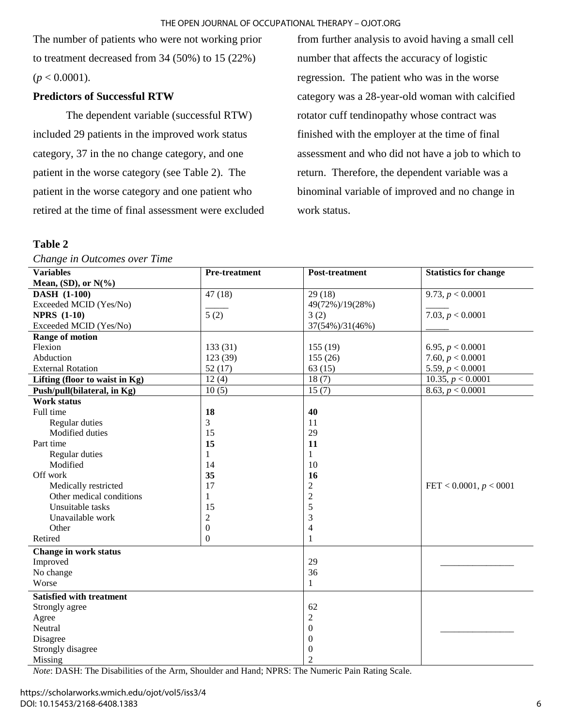#### THE OPEN JOURNAL OF OCCUPATIONAL THERAPY – OJOT.ORG

The number of patients who were not working prior to treatment decreased from 34 (50%) to 15 (22%)  $(p < 0.0001)$ .

### **Predictors of Successful RTW**

The dependent variable (successful RTW) included 29 patients in the improved work status category, 37 in the no change category, and one patient in the worse category (see Table 2). The patient in the worse category and one patient who retired at the time of final assessment were excluded

## **Table 2**

*Change in Outcomes over Time* 

from further analysis to avoid having a small cell number that affects the accuracy of logistic regression. The patient who was in the worse category was a 28-year-old woman with calcified rotator cuff tendinopathy whose contract was finished with the employer at the time of final assessment and who did not have a job to which to return. Therefore, the dependent variable was a binominal variable of improved and no change in work status.

| <b>Variables</b>                | <b>Pre-treatment</b> | <b>Post-treatment</b> | <b>Statistics for change</b> |
|---------------------------------|----------------------|-----------------------|------------------------------|
| Mean, (SD), or $N(\%)$          |                      |                       |                              |
| <b>DASH</b> (1-100)             | 47(18)               | 29(18)                | 9.73, p < 0.0001             |
| Exceeded MCID (Yes/No)          |                      | 49(72%)/19(28%)       |                              |
| <b>NPRS</b> (1-10)              | 5(2)                 | 3(2)                  | 7.03, p < 0.0001             |
| Exceeded MCID (Yes/No)          |                      | 37(54%)/31(46%)       |                              |
| <b>Range of motion</b>          |                      |                       |                              |
| Flexion                         | 133(31)              | 155(19)               | 6.95, $p < 0.0001$           |
| Abduction                       | 123 (39)             | 155(26)               | 7.60, $p < 0.0001$           |
| <b>External Rotation</b>        | 52(17)               | 63(15)                | 5.59, $p < 0.0001$           |
| Lifting (floor to waist in Kg)  | 12(4)                | 18(7)                 | 10.35, $p < 0.0001$          |
| Push/pull(bilateral, in Kg)     | 10(5)                | 15(7)                 | 8.63, p < 0.0001             |
| <b>Work status</b>              |                      |                       |                              |
| Full time                       | 18                   | 40                    |                              |
| Regular duties                  | 3                    | 11                    |                              |
| Modified duties                 | 15                   | 29                    |                              |
| Part time                       | 15                   | 11                    |                              |
| Regular duties                  | 1                    | 1                     |                              |
| Modified                        | 14                   | 10                    |                              |
| Off work                        | 35                   | 16                    |                              |
| Medically restricted            | 17                   | $\mathfrak{2}$        | FET < $0.0001, p < 0001$     |
| Other medical conditions        | 1                    | $\overline{2}$        |                              |
| Unsuitable tasks                | 15                   | 5                     |                              |
| Unavailable work                | $\overline{2}$       | 3                     |                              |
| Other                           | $\mathbf{0}$         | $\overline{4}$        |                              |
| Retired                         | $\overline{0}$       | 1                     |                              |
| Change in work status           |                      |                       |                              |
| Improved                        |                      | 29                    |                              |
| No change                       |                      | 36                    |                              |
| Worse                           |                      | $\mathbf{1}$          |                              |
| <b>Satisfied with treatment</b> |                      |                       |                              |
| Strongly agree                  |                      | 62                    |                              |
| Agree                           |                      | $\overline{2}$        |                              |
| Neutral                         |                      | $\boldsymbol{0}$      |                              |
| Disagree                        |                      | $\boldsymbol{0}$      |                              |
| Strongly disagree               |                      | $\boldsymbol{0}$      |                              |
| Missing                         |                      | $\overline{2}$        |                              |

*Note*: DASH: The Disabilities of the Arm, Shoulder and Hand; NPRS: The Numeric Pain Rating Scale.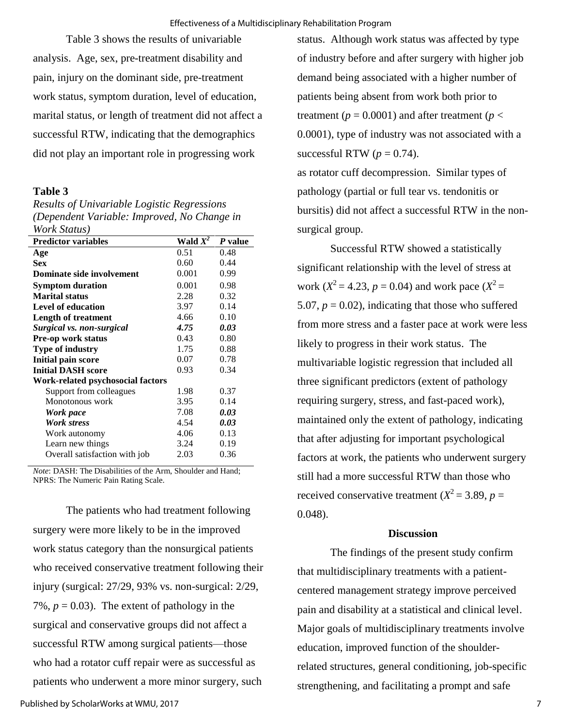Table 3 shows the results of univariable analysis. Age, sex, pre-treatment disability and pain, injury on the dominant side, pre-treatment work status, symptom duration, level of education, marital status, or length of treatment did not affect a successful RTW, indicating that the demographics did not play an important role in progressing work

#### **Table 3**

*Results of Univariable Logistic Regressions (Dependent Variable: Improved, No Change in Work Status)* 

| <b>Predictor variables</b>        | Wald $X^2$ | P value |
|-----------------------------------|------------|---------|
| Age                               | 0.51       | 0.48    |
| <b>Sex</b>                        | 0.60       | 0.44    |
| Dominate side involvement         | 0.001      | 0.99    |
| <b>Symptom duration</b>           | 0.001      | 0.98    |
| <b>Marital status</b>             | 2.28       | 0.32    |
| <b>Level of education</b>         | 3.97       | 0.14    |
| <b>Length of treatment</b>        | 4.66       | 0.10    |
| Surgical vs. non-surgical         | 4.75       | 0.03    |
| <b>Pre-op work status</b>         | 0.43       | 0.80    |
| <b>Type of industry</b>           | 1.75       | 0.88    |
| Initial pain score                | 0.07       | 0.78    |
| <b>Initial DASH score</b>         | 0.93       | 0.34    |
| Work-related psychosocial factors |            |         |
| Support from colleagues           | 1.98       | 0.37    |
| Monotonous work                   | 3.95       | 0.14    |
| Work pace                         | 7.08       | 0.03    |
| Work stress                       | 4.54       | 0.03    |
| Work autonomy                     | 4.06       | 0.13    |
| Learn new things                  | 3.24       | 0.19    |
| Overall satisfaction with job     | 2.03       | 0.36    |

*Note*: DASH: The Disabilities of the Arm, Shoulder and Hand; NPRS: The Numeric Pain Rating Scale.

The patients who had treatment following surgery were more likely to be in the improved work status category than the nonsurgical patients who received conservative treatment following their injury (surgical: 27/29, 93% vs. non-surgical: 2/29, 7%,  $p = 0.03$ ). The extent of pathology in the surgical and conservative groups did not affect a successful RTW among surgical patients—those who had a rotator cuff repair were as successful as patients who underwent a more minor surgery, such

status. Although work status was affected by type of industry before and after surgery with higher job demand being associated with a higher number of patients being absent from work both prior to treatment ( $p = 0.0001$ ) and after treatment ( $p <$ 0.0001), type of industry was not associated with a successful RTW  $(p = 0.74)$ .

as rotator cuff decompression. Similar types of pathology (partial or full tear vs. tendonitis or bursitis) did not affect a successful RTW in the nonsurgical group.

Successful RTW showed a statistically significant relationship with the level of stress at work ( $X^2 = 4.23$ ,  $p = 0.04$ ) and work pace ( $X^2 = 1$ 5.07,  $p = 0.02$ ), indicating that those who suffered from more stress and a faster pace at work were less likely to progress in their work status. The multivariable logistic regression that included all three significant predictors (extent of pathology requiring surgery, stress, and fast-paced work), maintained only the extent of pathology, indicating that after adjusting for important psychological factors at work, the patients who underwent surgery still had a more successful RTW than those who received conservative treatment ( $X^2 = 3.89$ ,  $p =$ 0.048).

#### **Discussion**

The findings of the present study confirm that multidisciplinary treatments with a patientcentered management strategy improve perceived pain and disability at a statistical and clinical level. Major goals of multidisciplinary treatments involve education, improved function of the shoulderrelated structures, general conditioning, job-specific strengthening, and facilitating a prompt and safe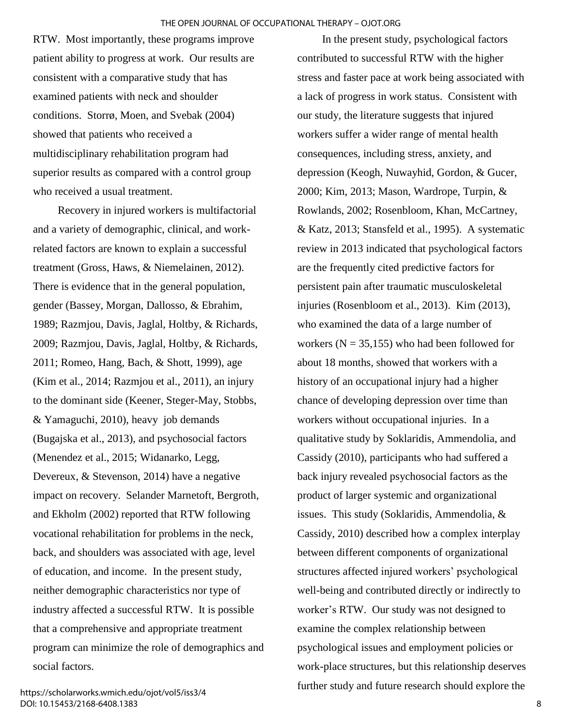RTW. Most importantly, these programs improve patient ability to progress at work. Our results are consistent with a comparative study that has examined patients with neck and shoulder conditions. Storrø, Moen, and Svebak (2004) showed that patients who received a multidisciplinary rehabilitation program had superior results as compared with a control group who received a usual treatment.

Recovery in injured workers is multifactorial and a variety of demographic, clinical, and workrelated factors are known to explain a successful treatment (Gross, Haws, & Niemelainen, 2012). There is evidence that in the general population, gender (Bassey, Morgan, Dallosso, & Ebrahim, 1989; Razmjou, Davis, Jaglal, Holtby, & Richards, 2009; Razmjou, Davis, Jaglal, Holtby, & Richards, 2011; Romeo, Hang, Bach, & Shott, 1999), age (Kim et al., 2014; Razmjou et al., 2011), an injury to the dominant side (Keener, Steger-May, Stobbs, & Yamaguchi, 2010), heavy job demands (Bugajska et al., 2013), and psychosocial factors (Menendez et al., 2015; Widanarko, Legg, Devereux, & Stevenson, 2014) have a negative impact on recovery. Selander Marnetoft, Bergroth, and Ekholm (2002) reported that RTW following vocational rehabilitation for problems in the neck, back, and shoulders was associated with age, level of education, and income. In the present study, neither demographic characteristics nor type of industry affected a successful RTW. It is possible that a comprehensive and appropriate treatment program can minimize the role of demographics and social factors.

https://scholarworks.wmich.edu/ojot/vol5/iss3/4 DOI: 10.15453/2168-6408.1383

In the present study, psychological factors contributed to successful RTW with the higher stress and faster pace at work being associated with a lack of progress in work status. Consistent with our study, the literature suggests that injured workers suffer a wider range of mental health consequences, including stress, anxiety, and depression (Keogh, Nuwayhid, Gordon, & Gucer, 2000; Kim, 2013; Mason, Wardrope, Turpin, & Rowlands, 2002; Rosenbloom, Khan, McCartney, & Katz, 2013; Stansfeld et al., 1995). A systematic review in 2013 indicated that psychological factors are the frequently cited predictive factors for persistent pain after traumatic musculoskeletal injuries (Rosenbloom et al., 2013). Kim (2013), who examined the data of a large number of workers ( $N = 35,155$ ) who had been followed for about 18 months, showed that workers with a history of an occupational injury had a higher chance of developing depression over time than workers without occupational injuries. In a qualitative study by Soklaridis, Ammendolia, and Cassidy (2010), participants who had suffered a back injury revealed psychosocial factors as the product of larger systemic and organizational issues. This study (Soklaridis, Ammendolia, & Cassidy, 2010) described how a complex interplay between different components of organizational structures affected injured workers' psychological well-being and contributed directly or indirectly to worker's RTW. Our study was not designed to examine the complex relationship between psychological issues and employment policies or work-place structures, but this relationship deserves further study and future research should explore the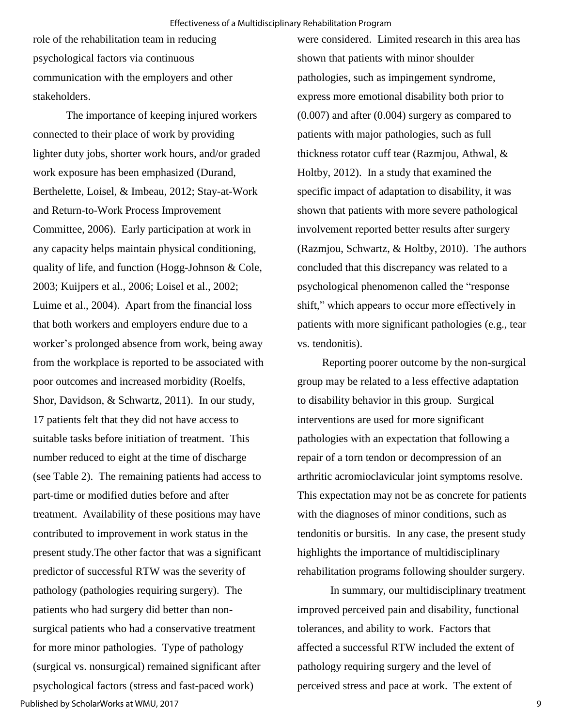role of the rehabilitation team in reducing psychological factors via continuous communication with the employers and other stakeholders.

The importance of keeping injured workers connected to their place of work by providing lighter duty jobs, shorter work hours, and/or graded work exposure has been emphasized (Durand, Berthelette, Loisel, & Imbeau, 2012; Stay-at-Work and Return-to-Work Process Improvement Committee, 2006). Early participation at work in any capacity helps maintain physical conditioning, quality of life, and function (Hogg-Johnson & Cole, 2003; Kuijpers et al., 2006; Loisel et al., 2002; Luime et al., 2004). Apart from the financial loss that both workers and employers endure due to a worker's prolonged absence from work, being away from the workplace is reported to be associated with poor outcomes and increased morbidity (Roelfs, Shor, Davidson, & Schwartz, 2011). In our study, 17 patients felt that they did not have access to suitable tasks before initiation of treatment. This number reduced to eight at the time of discharge (see Table 2). The remaining patients had access to part-time or modified duties before and after treatment. Availability of these positions may have contributed to improvement in work status in the present study.The other factor that was a significant predictor of successful RTW was the severity of pathology (pathologies requiring surgery). The patients who had surgery did better than nonsurgical patients who had a conservative treatment for more minor pathologies. Type of pathology (surgical vs. nonsurgical) remained significant after psychological factors (stress and fast-paced work) Published by ScholarWorks at WMU, 2017

were considered. Limited research in this area has shown that patients with minor shoulder pathologies, such as impingement syndrome, express more emotional disability both prior to (0.007) and after (0.004) surgery as compared to patients with major pathologies, such as full thickness rotator cuff tear (Razmjou, Athwal, & Holtby, 2012). In a study that examined the specific impact of adaptation to disability, it was shown that patients with more severe pathological involvement reported better results after surgery (Razmjou, Schwartz, & Holtby, 2010). The authors concluded that this discrepancy was related to a psychological phenomenon called the "response shift," which appears to occur more effectively in patients with more significant pathologies (e.g., tear vs. tendonitis).

 Reporting poorer outcome by the non-surgical group may be related to a less effective adaptation to disability behavior in this group. Surgical interventions are used for more significant pathologies with an expectation that following a repair of a torn tendon or decompression of an arthritic acromioclavicular joint symptoms resolve. This expectation may not be as concrete for patients with the diagnoses of minor conditions, such as tendonitis or bursitis. In any case, the present study highlights the importance of multidisciplinary rehabilitation programs following shoulder surgery.

In summary, our multidisciplinary treatment improved perceived pain and disability, functional tolerances, and ability to work. Factors that affected a successful RTW included the extent of pathology requiring surgery and the level of perceived stress and pace at work. The extent of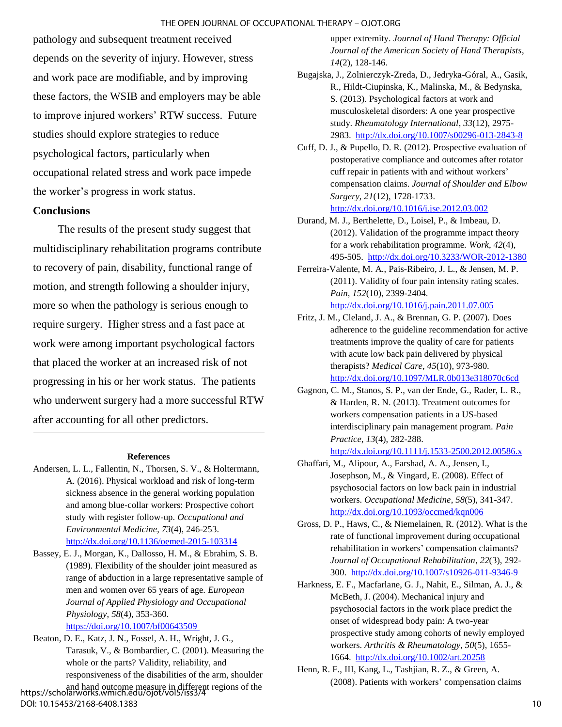#### THE OPEN JOURNAL OF OCCUPATIONAL THERAPY – OJOT.ORG

pathology and subsequent treatment received depends on the severity of injury. However, stress and work pace are modifiable, and by improving these factors, the WSIB and employers may be able to improve injured workers' RTW success. Future studies should explore strategies to reduce psychological factors, particularly when occupational related stress and work pace impede the worker's progress in work status.

#### **Conclusions**

The results of the present study suggest that multidisciplinary rehabilitation programs contribute to recovery of pain, disability, functional range of motion, and strength following a shoulder injury, more so when the pathology is serious enough to require surgery. Higher stress and a fast pace at work were among important psychological factors that placed the worker at an increased risk of not progressing in his or her work status. The patients who underwent surgery had a more successful RTW after accounting for all other predictors.

#### **References**

- Andersen, L. L., Fallentin, N., Thorsen, S. V., & Holtermann, A. (2016). Physical workload and risk of long-term sickness absence in the general working population and among blue-collar workers: Prospective cohort study with register follow-up. *Occupational and Environmental Medicine*, *73*(4), 246-253. <http://dx.doi.org/10.1136/oemed-2015-103314>
- Bassey, E. J., Morgan, K., Dallosso, H. M., & Ebrahim, S. B. (1989). Flexibility of the shoulder joint measured as range of abduction in a large representative sample of men and women over 65 years of age. *European Journal of Applied Physiology and Occupational Physiology*, *58*(4), 353-360.

[https://doi.org/10.1007/bf00643509](https://doi.org/10.1007/bf00643509 ) 

Beaton, D. E., Katz, J. N., Fossel, A. H., Wright, J. G., Tarasuk, V., & Bombardier, C. (2001). Measuring the whole or the parts? Validity, reliability, and responsiveness of the disabilities of the arm, shoulder and hand outcome measure in different regions of the https://scholarworks.wmich.edu/ojot/vol5/iss3/4

#### DOI: 10.15453/2168-6408.1383

upper extremity. *Journal of Hand Therapy: Official Journal of the American Society of Hand Therapists*, *14*(2), 128-146.

- Bugajska, J., Zolnierczyk-Zreda, D., Jedryka-Góral, A., Gasik, R., Hildt-Ciupinska, K., Malinska, M., & Bedynska, S. (2013). Psychological factors at work and musculoskeletal disorders: A one year prospective study. *Rheumatology International*, *33*(12), 2975- 2983.<http://dx.doi.org/10.1007/s00296-013-2843-8>
- Cuff, D. J., & Pupello, D. R. (2012). Prospective evaluation of postoperative compliance and outcomes after rotator cuff repair in patients with and without workers' compensation claims. *Journal of Shoulder and Elbow Surgery*, *21*(12), 1728-1733. <http://dx.doi.org/10.1016/j.jse.2012.03.002>
- Durand, M. J., Berthelette, D., Loisel, P., & Imbeau, D. (2012). Validation of the programme impact theory for a work rehabilitation programme. *Work*, *42*(4), 495-505. <http://dx.doi.org/10.3233/WOR-2012-1380>
- Ferreira-Valente, M. A., Pais-Ribeiro, J. L., & Jensen, M. P. (2011). Validity of four pain intensity rating scales. *Pain*, *152*(10), 2399-2404. <http://dx.doi.org/10.1016/j.pain.2011.07.005>
- Fritz, J. M., Cleland, J. A., & Brennan, G. P. (2007). Does adherence to the guideline recommendation for active treatments improve the quality of care for patients with acute low back pain delivered by physical therapists? *Medical Care*, *45*(10), 973-980. <http://dx.doi.org/10.1097/MLR.0b013e318070c6cd>
- Gagnon, C. M., Stanos, S. P., van der Ende, G., Rader, L. R., & Harden, R. N. (2013). Treatment outcomes for workers compensation patients in a US-based interdisciplinary pain management program. *Pain Practice*, *13*(4), 282-288.
	- <http://dx.doi.org/10.1111/j.1533-2500.2012.00586.x>
- Ghaffari, M., Alipour, A., Farshad, A. A., Jensen, I., Josephson, M., & Vingard, E. (2008). Effect of psychosocial factors on low back pain in industrial workers. *Occupational Medicine*, *58*(5), 341-347. <http://dx.doi.org/10.1093/occmed/kqn006>
- Gross, D. P., Haws, C., & Niemelainen, R. (2012). What is the rate of functional improvement during occupational rehabilitation in workers' compensation claimants? *Journal of Occupational Rehabilitation*, *22*(3), 292- 300.<http://dx.doi.org/10.1007/s10926-011-9346-9>
- Harkness, E. F., Macfarlane, G. J., Nahit, E., Silman, A. J., & McBeth, J. (2004). Mechanical injury and psychosocial factors in the work place predict the onset of widespread body pain: A two-year prospective study among cohorts of newly employed workers. *Arthritis & Rheumatology*, *50*(5), 1655- 1664.<http://dx.doi.org/10.1002/art.20258>
- Henn, R. F., III, Kang, L., Tashjian, R. Z., & Green, A. (2008). Patients with workers' compensation claims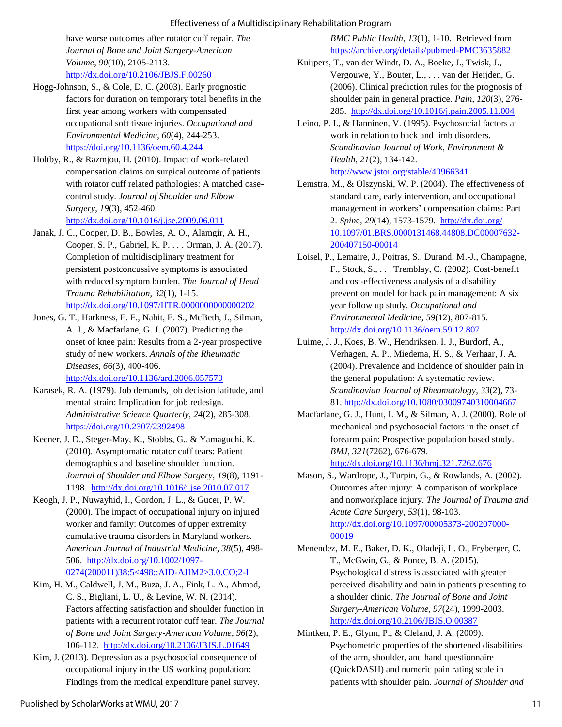#### Effectiveness of a Multidisciplinary Rehabilitation Program

have worse outcomes after rotator cuff repair. *The Journal of Bone and Joint Surgery-American Volume*, *90*(10), 2105-2113. <http://dx.doi.org/10.2106/JBJS.F.00260>

- Hogg-Johnson, S., & Cole, D. C. (2003). Early prognostic factors for duration on temporary total benefits in the first year among workers with compensated occupational soft tissue injuries. *Occupational and Environmental Medicine*, *60*(4), 244-253. [https://doi.org/10.1136/oem.60.4.244](https://doi.org/10.1136/oem.60.4.244 )
- Holtby, R., & Razmjou, H. (2010). Impact of work-related compensation claims on surgical outcome of patients with rotator cuff related pathologies: A matched casecontrol study. *Journal of Shoulder and Elbow Surgery*, *19*(3), 452-460. <http://dx.doi.org/10.1016/j.jse.2009.06.011>
- Janak, J. C., Cooper, D. B., Bowles, A. O., Alamgir, A. H., Cooper, S. P., Gabriel, K. P. . . . Orman, J. A. (2017). Completion of multidisciplinary treatment for persistent postconcussive symptoms is associated with reduced symptom burden. *The Journal of Head Trauma Rehabilitation*, *32*(1), 1-15.

<http://dx.doi.org/10.1097/HTR.0000000000000202>

- Jones, G. T., Harkness, E. F., Nahit, E. S., McBeth, J., Silman, A. J., & Macfarlane, G. J. (2007). Predicting the onset of knee pain: Results from a 2-year prospective study of new workers. *Annals of the Rheumatic Diseases*, *66*(3), 400-406. <http://dx.doi.org/10.1136/ard.2006.057570>
- Karasek, R. A. (1979). Job demands, job decision latitude, and mental strain: Implication for job redesign. *Administrative Science Quarterly*, *24*(2), 285-308. <https://doi.org/10.2307/2392498>
- Keener, J. D., Steger-May, K., Stobbs, G., & Yamaguchi, K. (2010). Asymptomatic rotator cuff tears: Patient demographics and baseline shoulder function. *Journal of Shoulder and Elbow Surgery*, *19*(8), 1191- 1198.<http://dx.doi.org/10.1016/j.jse.2010.07.017>
- Keogh, J. P., Nuwayhid, I., Gordon, J. L., & Gucer, P. W. (2000). The impact of occupational injury on injured worker and family: Outcomes of upper extremity cumulative trauma disorders in Maryland workers. *American Journal of Industrial Medicine*, *38*(5), 498- 506. [http://dx.doi.org/10.1002/1097-](http://dx.doi.org/10.1002/1097-0274(200011)38:5%3c498::AID-AJIM2%3e3.0.CO;2-I) [0274\(200011\)38:5<498::AID-AJIM2>3.0.CO;2-I](http://dx.doi.org/10.1002/1097-0274(200011)38:5%3c498::AID-AJIM2%3e3.0.CO;2-I)
- Kim, H. M., Caldwell, J. M., Buza, J. A., Fink, L. A., Ahmad, C. S., Bigliani, L. U., & Levine, W. N. (2014). Factors affecting satisfaction and shoulder function in patients with a recurrent rotator cuff tear. *The Journal of Bone and Joint Surgery-American Volume*, *96*(2), 106-112. <http://dx.doi.org/10.2106/JBJS.L.01649>
- Kim, J. (2013). Depression as a psychosocial consequence of occupational injury in the US working population: Findings from the medical expenditure panel survey.

*BMC Public Health*, *13*(1), 1-10. Retrieved from <https://archive.org/details/pubmed-PMC3635882>

- Kuijpers, T., van der Windt, D. A., Boeke, J., Twisk, J., Vergouwe, Y., Bouter, L., . . . van der Heijden, G. (2006). Clinical prediction rules for the prognosis of shoulder pain in general practice. *Pain*, *120*(3), 276- 285. [http://dx.doi.org/10.1016/j.pain.2005.11.004](http://dx.doi.org/S0304-3959(05)00586-5)
- Leino, P. I., & Hanninen, V. (1995). Psychosocial factors at work in relation to back and limb disorders. *Scandinavian Journal of Work, Environment & Health*, *21*(2), 134-142. <http://www.jstor.org/stable/40966341>
- Lemstra, M., & Olszynski, W. P. (2004). The effectiveness of standard care, early intervention, and occupational management in workers' compensation claims: Part 2. *Spin*e, *29*(14), 1573-1579. [http://dx.doi.org/](http://dx.doi.org/10.1097/01.BRS.0000131468.44808.DC)  [10.1097/01.BRS.0000131468.44808.DC00007632-](http://dx.doi.org/10.1097/01.BRS.0000131468.44808.DC) [200407150-00014](http://dx.doi.org/10.1097/01.BRS.0000131468.44808.DC)
- Loisel, P., Lemaire, J., Poitras, S., Durand, M.-J., Champagne, F., Stock, S., . . . Tremblay, C. (2002). Cost-benefit and cost-effectiveness analysis of a disability prevention model for back pain management: A six year follow up study. *Occupational and Environmental Medicine*, *59*(12), 807-815. [http://dx.doi.org/10.1136/oem.59.12.807](https://dx.doi.org/10.1136%2Foem.59.12.807)
- Luime, J. J., Koes, B. W., Hendriksen, I. J., Burdorf, A., Verhagen, A. P., Miedema, H. S., & Verhaar, J. A. (2004). Prevalence and incidence of shoulder pain in the general population: A systematic review. *Scandinavian Journal of Rheumatology*, *33*(2), 73- 81.<http://dx.doi.org/10.1080/03009740310004667>
- Macfarlane, G. J., Hunt, I. M., & Silman, A. J. (2000). Role of mechanical and psychosocial factors in the onset of forearm pain: Prospective population based study. *BMJ*, *321*(7262), 676-679. <http://dx.doi.org/10.1136/bmj.321.7262.676>
- Mason, S., Wardrope, J., Turpin, G., & Rowlands, A. (2002). Outcomes after injury: A comparison of workplace and nonworkplace injury. *The Journal of Trauma and Acute Care Surgery*, *53*(1), 98-103. [http://dx.doi.org/10.1097/00005373-200207000-](http://dx.doi.org/10.1097/00005373-200207000-00019) [00019](http://dx.doi.org/10.1097/00005373-200207000-00019)
- Menendez, M. E., Baker, D. K., Oladeji, L. O., Fryberger, C. T., McGwin, G., & Ponce, B. A. (2015). Psychological distress is associated with greater perceived disability and pain in patients presenting to a shoulder clinic. *The Journal of Bone and Joint Surgery-American Volume*, *97*(24), 1999-2003. <http://dx.doi.org/10.2106/JBJS.O.00387>
- Mintken, P. E., Glynn, P., & Cleland, J. A. (2009). Psychometric properties of the shortened disabilities of the arm, shoulder, and hand questionnaire (QuickDASH) and numeric pain rating scale in patients with shoulder pain. *Journal of Shoulder and*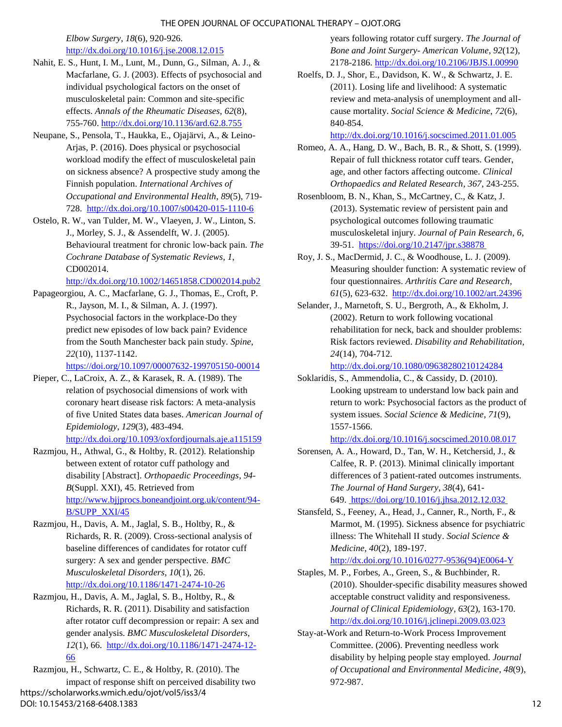*Elbow Surgery*, *18*(6), 920-926.

#### <http://dx.doi.org/10.1016/j.jse.2008.12.015>

- Nahit, E. S., Hunt, I. M., Lunt, M., Dunn, G., Silman, A. J., & Macfarlane, G. J. (2003). Effects of psychosocial and individual psychological factors on the onset of musculoskeletal pain: Common and site-specific effects. *Annals of the Rheumatic Diseases*, *62*(8), 755-760. [http://dx.doi.org/10.1136/ard.62.8.755](https://dx.doi.org/10.1136%2Fard.62.8.755)
- Neupane, S., Pensola, T., Haukka, E., Ojajärvi, A., & Leino-Arjas, P. (2016). Does physical or psychosocial workload modify the effect of musculoskeletal pain on sickness absence? A prospective study among the Finnish population. *International Archives of Occupational and Environmental Health*, *89*(5), 719- 728.<http://dx.doi.org/10.1007/s00420-015-1110-6>
- Ostelo, R. W., van Tulder, M. W., Vlaeyen, J. W., Linton, S. J., Morley, S. J., & Assendelft, W. J. (2005). Behavioural treatment for chronic low-back pain. *The Cochrane Database of Systematic Reviews*, *1*, CD002014.

<http://dx.doi.org/10.1002/14651858.CD002014.pub2>

Papageorgiou, A. C., Macfarlane, G. J., Thomas, E., Croft, P. R., Jayson, M. I., & Silman, A. J. (1997). Psychosocial factors in the workplace-Do they predict new episodes of low back pain? Evidence from the South Manchester back pain study. *Spine*, *22*(10), 1137-1142.

<https://doi.org/10.1097/00007632-199705150-00014>

- Pieper, C., LaCroix, A. Z., & Karasek, R. A. (1989). The relation of psychosocial dimensions of work with coronary heart disease risk factors: A meta-analysis of five United States data bases. *American Journal of Epidemiology*, *129*(3), 483-494. <http://dx.doi.org/10.1093/oxfordjournals.aje.a115159>
- Razmjou, H., Athwal, G., & Holtby, R. (2012). Relationship between extent of rotator cuff pathology and disability [Abstract]. *Orthopaedic Proceedings*, *94- B*(Suppl. XXI), 45. Retrieved from [http://www.bjjprocs.boneandjoint.org.uk/content/94-](http://www.bjjprocs.boneandjoint.org.uk/content/94-B/SUPP_XXI/45) [B/SUPP\\_XXI/45](http://www.bjjprocs.boneandjoint.org.uk/content/94-B/SUPP_XXI/45)
- Razmjou, H., Davis, A. M., Jaglal, S. B., Holtby, R., & Richards, R. R. (2009). Cross-sectional analysis of baseline differences of candidates for rotator cuff surgery: A sex and gender perspective. *BMC Musculoskeletal Disorders*, *10*(1), 26. <http://dx.doi.org/10.1186/1471-2474-10-26>
- Razmjou, H., Davis, A. M., Jaglal, S. B., Holtby, R., & Richards, R. R. (2011). Disability and satisfaction after rotator cuff decompression or repair: A sex and gender analysis. *BMC Musculoskeletal Disorders*, *12*(1), 66. [http://dx.doi.org/10.1186/1471-2474-12-](http://dx.doi.org/10.1186/1471-2474-12-66) [66](http://dx.doi.org/10.1186/1471-2474-12-66)

Razmjou, H., Schwartz, C. E., & Holtby, R. (2010). The impact of response shift on perceived disability two https://scholarworks.wmich.edu/ojot/vol5/iss3/4 DOI: 10.15453/2168-6408.1383

years following rotator cuff surgery. *The Journal of Bone and Joint Surgery- American Volume*, *92*(12), 2178-2186.<http://dx.doi.org/10.2106/JBJS.I.00990>

Roelfs, D. J., Shor, E., Davidson, K. W., & Schwartz, J. E. (2011). Losing life and livelihood: A systematic review and meta-analysis of unemployment and allcause mortality. *Social Science & Medicine*, *72*(6), 840-854.

<http://dx.doi.org/10.1016/j.socscimed.2011.01.005>

- Romeo, A. A., Hang, D. W., Bach, B. R., & Shott, S. (1999). Repair of full thickness rotator cuff tears. Gender, age, and other factors affecting outcome. *Clinical Orthopaedics and Related Research*, *367*, 243-255.
- Rosenbloom, B. N., Khan, S., McCartney, C., & Katz, J. (2013). Systematic review of persistent pain and psychological outcomes following traumatic musculoskeletal injury. *Journal of Pain Research*, *6*, 39-51. [https://doi.org/10.2147/jpr.s38878](https://doi.org/10.2147/jpr.s38878 )
- Roy, J. S., MacDermid, J. C., & Woodhouse, L. J. (2009). Measuring shoulder function: A systematic review of four questionnaires. *Arthritis Care and Research*, *61*(5), 623-632.<http://dx.doi.org/10.1002/art.24396>
- Selander, J., Marnetoft, S. U., Bergroth, A., & Ekholm, J. (2002). Return to work following vocational rehabilitation for neck, back and shoulder problems: Risk factors reviewed. *Disability and Rehabilitation*, *24*(14), 704-712.

<http://dx.doi.org/10.1080/09638280210124284>

Soklaridis, S., Ammendolia, C., & Cassidy, D. (2010). Looking upstream to understand low back pain and return to work: Psychosocial factors as the product of system issues. *Social Science & Medicine*, *71*(9), 1557-1566.

<http://dx.doi.org/10.1016/j.socscimed.2010.08.017>

- Sorensen, A. A., Howard, D., Tan, W. H., Ketchersid, J., & Calfee, R. P. (2013). Minimal clinically important differences of 3 patient-rated outcomes instruments. *The Journal of Hand Surgery*, *38*(4), 641- 649. [https://doi.org/10.1016/j.jhsa.2012.12.032]( https:/doi.org/10.1016/j.jhsa.2012.12.032 )
- Stansfeld, S., Feeney, A., Head, J., Canner, R., North, F., & Marmot, M. (1995). Sickness absence for psychiatric illness: The Whitehall II study. *Social Science & Medicine*, *40*(2), 189-197.

[http://dx.doi.org/10.1016/0277-9536\(94\)E0064-Y](http://dx.doi.org/10.1016/0277-9536(94)E0064-Y) 

- Staples, M. P., Forbes, A., Green, S., & Buchbinder, R. (2010). Shoulder-specific disability measures showed acceptable construct validity and responsiveness. *Journal of Clinical Epidemiology*, *63*(2), 163-170. <http://dx.doi.org/10.1016/j.jclinepi.2009.03.023>
- Stay-at-Work and Return-to-Work Process Improvement Committee. (2006). Preventing needless work disability by helping people stay employed. *Journal of Occupational and Environmental Medicine*, *48*(9), 972-987.